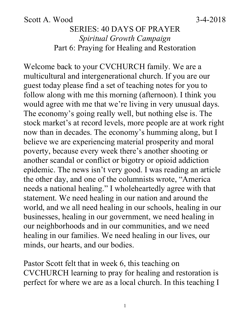#### Scott A. Wood 3-4-2018

## SERIES: 40 DAYS OF PRAYER *Spiritual Growth Campaign* Part 6: Praying for Healing and Restoration

Welcome back to your CVCHURCH family. We are a multicultural and intergenerational church. If you are our guest today please find a set of teaching notes for you to follow along with me this morning (afternoon). I think you would agree with me that we're living in very unusual days. The economy's going really well, but nothing else is. The stock market's at record levels, more people are at work right now than in decades. The economy's humming along, but I believe we are experiencing material prosperity and moral poverty, because every week there's another shooting or another scandal or conflict or bigotry or opioid addiction epidemic. The news isn't very good. I was reading an article the other day, and one of the columnists wrote, "America needs a national healing." I wholeheartedly agree with that statement. We need healing in our nation and around the world, and we all need healing in our schools, healing in our businesses, healing in our government, we need healing in our neighborhoods and in our communities, and we need healing in our families. We need healing in our lives, our minds, our hearts, and our bodies.

Pastor Scott felt that in week 6, this teaching on CVCHURCH learning to pray for healing and restoration is perfect for where we are as a local church. In this teaching I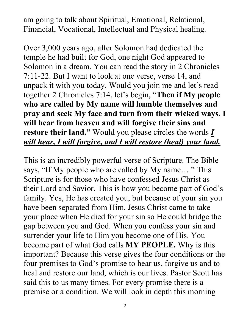am going to talk about Spiritual, Emotional, Relational, Financial, Vocational, Intellectual and Physical healing.

Over 3,000 years ago, after Solomon had dedicated the temple he had built for God, one night God appeared to Solomon in a dream. You can read the story in 2 Chronicles 7:11-22. But I want to look at one verse, verse 14, and unpack it with you today. Would you join me and let's read together 2 Chronicles 7:14, let's begin, "**Then if My people who are called by My name will humble themselves and pray and seek My face and turn from their wicked ways, I will hear from heaven and will forgive their sins and restore their land."** Would you please circles the words *I will hear, I will forgive, and I will restore (heal) your land.*

This is an incredibly powerful verse of Scripture. The Bible says, "If My people who are called by My name...." This Scripture is for those who have confessed Jesus Christ as their Lord and Savior. This is how you become part of God's family. Yes, He has created you, but because of your sin you have been separated from Him. Jesus Christ came to take your place when He died for your sin so He could bridge the gap between you and God. When you confess your sin and surrender your life to Him you become one of His. You become part of what God calls **MY PEOPLE.** Why is this important? Because this verse gives the four conditions or the four premises to God's promise to hear us, forgive us and to heal and restore our land, which is our lives. Pastor Scott has said this to us many times. For every promise there is a premise or a condition. We will look in depth this morning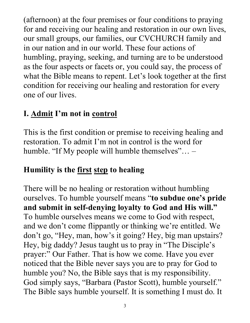(afternoon) at the four premises or four conditions to praying for and receiving our healing and restoration in our own lives, our small groups, our families, our CVCHURCH family and in our nation and in our world. These four actions of humbling, praying, seeking, and turning are to be understood as the four aspects or facets or, you could say, the process of what the Bible means to repent. Let's look together at the first condition for receiving our healing and restoration for every one of our lives.

## **I. Admit I'm not in control**

This is the first condition or premise to receiving healing and restoration. To admit I'm not in control is the word for humble. "If My people will humble themselves"... -

## **Humility is the first step to healing**

There will be no healing or restoration without humbling ourselves. To humble yourself means "**to subdue one's pride and submit in self-denying loyalty to God and His will."**  To humble ourselves means we come to God with respect, and we don't come flippantly or thinking we're entitled. We don't go, "Hey, man, how's it going? Hey, big man upstairs? Hey, big daddy? Jesus taught us to pray in "The Disciple's prayer:" Our Father. That is how we come. Have you ever noticed that the Bible never says you are to pray for God to humble you? No, the Bible says that is my responsibility. God simply says, "Barbara (Pastor Scott), humble yourself." The Bible says humble yourself. It is something I must do. It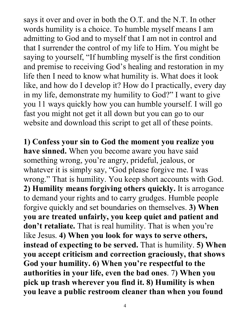says it over and over in both the O.T. and the N.T. In other words humility is a choice. To humble myself means I am admitting to God and to myself that I am not in control and that I surrender the control of my life to Him. You might be saying to yourself, "If humbling myself is the first condition and premise to receiving God's healing and restoration in my life then I need to know what humility is. What does it look like, and how do I develop it? How do I practically, every day in my life, demonstrate my humility to God?" I want to give you 11 ways quickly how you can humble yourself. I will go fast you might not get it all down but you can go to our website and download this script to get all of these points.

**1) Confess your sin to God the moment you realize you have sinned.** When you become aware you have said something wrong, you're angry, prideful, jealous, or whatever it is simply say, "God please forgive me. I was wrong." That is humility. You keep short accounts with God. **2) Humility means forgiving others quickly.** It is arrogance to demand your rights and to carry grudges. Humble people forgive quickly and set boundaries on themselves. **3) When you are treated unfairly, you keep quiet and patient and don't retaliate.** That is real humility. That is when you're like Jesus. **4) When you look for ways to serve others, instead of expecting to be served.** That is humility. **5) When you accept criticism and correction graciously, that shows God your humility. 6) When you're respectful to the authorities in your life, even the bad ones**. 7**) When you pick up trash wherever you find it. 8) Humility is when you leave a public restroom cleaner than when you found**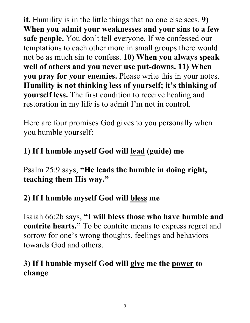**it.** Humility is in the little things that no one else sees. **9) When you admit your weaknesses and your sins to a few safe people.** You don't tell everyone. If we confessed our temptations to each other more in small groups there would not be as much sin to confess. **10) When you always speak well of others and you never use put-downs. 11) When you pray for your enemies.** Please write this in your notes. **Humility is not thinking less of yourself; it's thinking of yourself less.** The first condition to receive healing and restoration in my life is to admit I'm not in control.

Here are four promises God gives to you personally when you humble yourself:

# **1) If I humble myself God will lead (guide) me**

Psalm 25:9 says, **"He leads the humble in doing right, teaching them His way."** 

## **2) If I humble myself God will bless me**

Isaiah 66:2b says, **"I will bless those who have humble and contrite hearts."** To be contrite means to express regret and sorrow for one's wrong thoughts, feelings and behaviors towards God and others.

## **3) If I humble myself God will give me the power to change**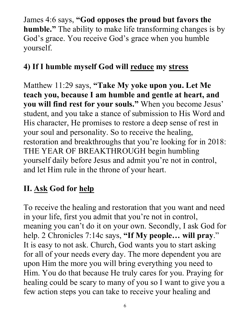James 4:6 says, **"God opposes the proud but favors the humble."** The ability to make life transforming changes is by God's grace. You receive God's grace when you humble yourself.

# **4) If I humble myself God will reduce my stress**

Matthew 11:29 says, **"Take My yoke upon you. Let Me teach you, because I am humble and gentle at heart, and you will find rest for your souls."** When you become Jesus' student, and you take a stance of submission to His Word and His character, He promises to restore a deep sense of rest in your soul and personality. So to receive the healing, restoration and breakthroughs that you're looking for in 2018: THE YEAR OF BREAKTHROUGH begin humbling yourself daily before Jesus and admit you're not in control, and let Him rule in the throne of your heart.

# **II. Ask God for help**

To receive the healing and restoration that you want and need in your life, first you admit that you're not in control, meaning you can't do it on your own. Secondly, I ask God for help. 2 Chronicles 7:14c says, **"If My people… will pray**." It is easy to not ask. Church, God wants you to start asking for all of your needs every day. The more dependent you are upon Him the more you will bring everything you need to Him. You do that because He truly cares for you. Praying for healing could be scary to many of you so I want to give you a few action steps you can take to receive your healing and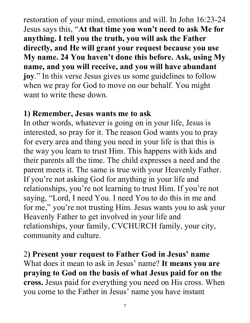restoration of your mind, emotions and will. In John 16:23-24 Jesus says this, "**At that time you won't need to ask Me for anything. I tell you the truth, you will ask the Father directly, and He will grant your request because you use My name. 24 You haven't done this before. Ask, using My name, and you will receive, and you will have abundant joy**." In this verse Jesus gives us some guidelines to follow when we pray for God to move on our behalf. You might want to write these down.

#### **1) Remember, Jesus wants me to ask**

In other words, whatever is going on in your life, Jesus is interested, so pray for it. The reason God wants you to pray for every area and thing you need in your life is that this is the way you learn to trust Him. This happens with kids and their parents all the time. The child expresses a need and the parent meets it. The same is true with your Heavenly Father. If you're not asking God for anything in your life and relationships, you're not learning to trust Him. If you're not saying, "Lord, I need You. I need You to do this in me and for me," you're not trusting Him. Jesus wants you to ask your Heavenly Father to get involved in your life and relationships, your family, CVCHURCH family, your city, community and culture.

2**) Present your request to Father God in Jesus' name** What does it mean to ask in Jesus' name? **It means you are praying to God on the basis of what Jesus paid for on the cross.** Jesus paid for everything you need on His cross. When you come to the Father in Jesus' name you have instant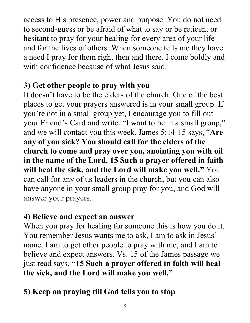access to His presence, power and purpose. You do not need to second-guess or be afraid of what to say or be reticent or hesitant to pray for your healing for every area of your life and for the lives of others. When someone tells me they have a need I pray for them right then and there. I come boldly and with confidence because of what Jesus said.

## **3) Get other people to pray with you**

It doesn't have to be the elders of the church. One of the best places to get your prayers answered is in your small group. If you're not in a small group yet, I encourage you to fill out your Friend's Card and write, "I want to be in a small group," and we will contact you this week. James 5:14-15 says, "**Are any of you sick? You should call for the elders of the church to come and pray over you, anointing you with oil in the name of the Lord. 15 Such a prayer offered in faith will heal the sick, and the Lord will make you well."** You can call for any of us leaders in the church, but you can also have anyone in your small group pray for you, and God will answer your prayers.

#### **4) Believe and expect an answer**

When you pray for healing for someone this is how you do it. You remember Jesus wants me to ask, I am to ask in Jesus' name. I am to get other people to pray with me, and I am to believe and expect answers. Vs. 15 of the James passage we just read says, **"15 Such a prayer offered in faith will heal the sick, and the Lord will make you well."** 

# **5) Keep on praying till God tells you to stop**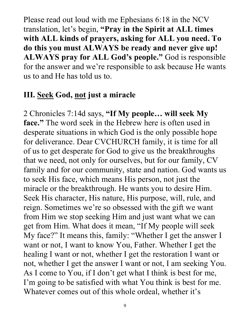Please read out loud with me Ephesians 6:18 in the NCV translation, let's begin, **"Pray in the Spirit at ALL times with ALL kinds of prayers, asking for ALL you need. To do this you must ALWAYS be ready and never give up! ALWAYS pray for ALL God's people."** God is responsible for the answer and we're responsible to ask because He wants us to and He has told us to.

#### **III. Seek God, not just a miracle**

2 Chronicles 7:14d says, **"If My people… will seek My face."** The word seek in the Hebrew here is often used in desperate situations in which God is the only possible hope for deliverance. Dear CVCHURCH family, it is time for all of us to get desperate for God to give us the breakthroughs that we need, not only for ourselves, but for our family, CV family and for our community, state and nation. God wants us to seek His face, which means His person, not just the miracle or the breakthrough. He wants you to desire Him. Seek His character, His nature, His purpose, will, rule, and reign. Sometimes we're so obsessed with the gift we want from Him we stop seeking Him and just want what we can get from Him. What does it mean, "If My people will seek My face?" It means this, family: "Whether I get the answer I want or not, I want to know You, Father. Whether I get the healing I want or not, whether I get the restoration I want or not, whether I get the answer I want or not, I am seeking You. As I come to You, if I don't get what I think is best for me, I'm going to be satisfied with what You think is best for me. Whatever comes out of this whole ordeal, whether it's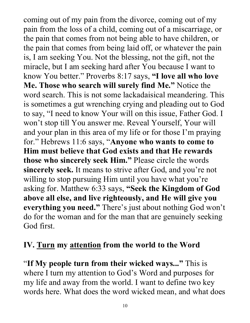coming out of my pain from the divorce, coming out of my pain from the loss of a child, coming out of a miscarriage, or the pain that comes from not being able to have children, or the pain that comes from being laid off, or whatever the pain is, I am seeking You. Not the blessing, not the gift, not the miracle, but I am seeking hard after You because I want to know You better." Proverbs 8:17 says, **"I love all who love Me. Those who search will surely find Me."** Notice the word search. This is not some lackadaisical meandering. This is sometimes a gut wrenching crying and pleading out to God to say, "I need to know Your will on this issue, Father God. I won't stop till You answer me. Reveal Yourself, Your will and your plan in this area of my life or for those I'm praying for." Hebrews 11:6 says, "**Anyone who wants to come to Him must believe that God exists and that He rewards those who sincerely seek Him."** Please circle the words **sincerely seek.** It means to strive after God, and you're not willing to stop pursuing Him until you have what you're asking for. Matthew 6:33 says, **"Seek the Kingdom of God above all else, and live righteously, and He will give you everything you need."** There's just about nothing God won't do for the woman and for the man that are genuinely seeking God first.

## **IV. Turn my attention from the world to the Word**

"**If My people turn from their wicked ways..."** This is where I turn my attention to God's Word and purposes for my life and away from the world. I want to define two key words here. What does the word wicked mean, and what does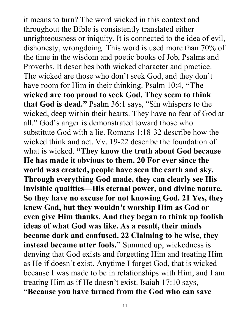it means to turn? The word wicked in this context and throughout the Bible is consistently translated either unrighteousness or iniquity. It is connected to the idea of evil, dishonesty, wrongdoing. This word is used more than 70% of the time in the wisdom and poetic books of Job, Psalms and Proverbs. It describes both wicked character and practice. The wicked are those who don't seek God, and they don't have room for Him in their thinking. Psalm 10:4, **"The wicked are too proud to seek God. They seem to think that God is dead."** Psalm 36:1 says, "Sin whispers to the wicked, deep within their hearts. They have no fear of God at all." God's anger is demonstrated toward those who substitute God with a lie. Romans 1:18-32 describe how the wicked think and act. Vv. 19-22 describe the foundation of what is wicked. **"They know the truth about God because He has made it obvious to them. 20 For ever since the world was created, people have seen the earth and sky. Through everything God made, they can clearly see His invisible qualities—His eternal power, and divine nature. So they have no excuse for not knowing God. 21 Yes, they knew God, but they wouldn't worship Him as God or even give Him thanks. And they began to think up foolish ideas of what God was like. As a result, their minds became dark and confused. 22 Claiming to be wise, they instead became utter fools."** Summed up, wickedness is denying that God exists and forgetting Him and treating Him as He if doesn't exist. Anytime I forget God, that is wicked because I was made to be in relationships with Him, and I am treating Him as if He doesn't exist. Isaiah 17:10 says, **"Because you have turned from the God who can save**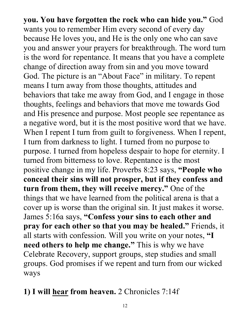**you. You have forgotten the rock who can hide you."** God wants you to remember Him every second of every day because He loves you, and He is the only one who can save you and answer your prayers for breakthrough. The word turn is the word for repentance. It means that you have a complete change of direction away from sin and you move toward God. The picture is an "About Face" in military. To repent means I turn away from those thoughts, attitudes and behaviors that take me away from God, and I engage in those thoughts, feelings and behaviors that move me towards God and His presence and purpose. Most people see repentance as a negative word, but it is the most positive word that we have. When I repent I turn from guilt to forgiveness. When I repent, I turn from darkness to light. I turned from no purpose to purpose. I turned from hopeless despair to hope for eternity. I turned from bitterness to love. Repentance is the most positive change in my life. Proverbs 8:23 says, **"People who conceal their sins will not prosper, but if they confess and turn from them, they will receive mercy."** One of the things that we have learned from the political arena is that a cover up is worse than the original sin. It just makes it worse. James 5:16a says, **"Confess your sins to each other and pray for each other so that you may be healed."** Friends, it all starts with confession. Will you write on your notes, **"I need others to help me change."** This is why we have Celebrate Recovery, support groups, step studies and small groups. God promises if we repent and turn from our wicked ways

#### **1) I will hear from heaven.** 2 Chronicles 7:14f